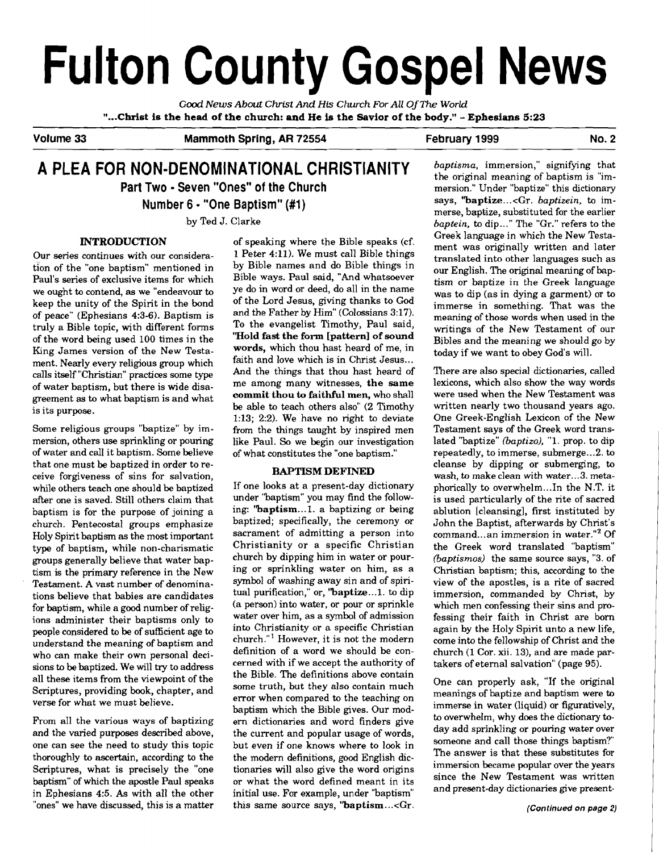# **Fulton County Gospel News**

Gd *News About* **Christ** *And* **His Church** *For All* **Of** *The World*  **"...Christ is the head of the church: and He is the Savior of the body."** - **Ephesians 5:23** 

**Volume 33 Mammoth Spring, AR 72554 February 1999 No. 2** 

# **A PLEA FOR NON-DENOMINATIONAL CHRlSTlANlTY** *baptisms,* immersion," signifying that

# **INTRODUCTION**

Our series continues with our consideration of the "one baptism" mentioned in Paul's series of exclusive items for which we ought **to** contend, as we "endeavour to keep the unity of the Spirit in the bond of peace" (Ephesians 4:3-6). Baptism is truly a Bible topic, with different forms of the word being used 100 times in the King James version of the New Testament. Nearly every religious group which calls itself "Christian" practices some type of water baptism, but there is wide disagreement as to what baptism is and what is its purpose.

Some religious groups "baptize" by immersion, others use sprinkling or pouring of water and call it baptism. Some believe that one must be baptized in order to receive forgiveness of sins for salvation, while others teach one should be baptized after one is saved. Still others claim that baptism is for the purpose of joining a church. Pentecostal groups emphasize Holy Spirit baptism as the most important type of baptism, while non-charismatic groups generally believe that water baptism is the primary reference in the New Testament. A vast number of denominations believe that babies are candidates for baptism, while a good number of religions administer their baptisms only to people considered to be of sufficient age to understand the meaning of baptism and who can make their own personal decisions to be baptized. We will **try** to address all these items from the viewpoint of the Scriptures, providing book, chapter, and verse for what we must believe.

From all the various ways of baptizing and the varied purposes described above, one can see the need to study this topic thoroughly to ascertain, according to the Scriptures, what is precisely the "one baptism" of which the apostle Paul speaks in Ephesians 4:5. As with all the other "ones" we have discussed, this is a matter

of speaking where the Bible speaks (cf. **1** Peter 4:ll). We must call Bible things by Bible names and do Bible things in Bible ways. Paul said, "And whatsoever ye do in word or deed, do all in the name of the Lord Jesus, giving thanks to God and the Father by Him" (Colossians 3:17). To the evangelist Timothy, Paul said, **Wold fast the form [pattern] of sound words,** which thou hast heard of me, in faith and love which is in Christ Jesus... And the things that thou hast heard of me among many witnesses, **the same commit thou to faithful men,** who shall be able to teach others also" (2 Timothy 1:13; 2:2). We have no right to deviate from the things taught by inspired men like Paul. So we begin our investigation of what constitutes the "one baptism."

# **BAPTISM DEFINED**

If one looks at a present-day dictionary under "baptism" you may find the following: **"baptism** ... 1. a baptizing or being baptized; specifically, the ceremony or sacrament of admitting a person into Christianity or a specific Christian church by dipping him in water or pouring or sprinkling water on him, as a symbol of washing away sin and of spiritual purification," or, "baptize...1. to dip (a person) into water, or pour or sprinkle water over him, as a symbol of admission into Christianity or a specific Christian church."' However, it is not the modern definition of a word we should be concerned with if we accept the authority of the Bible. The definitions above contain some truth, but they also contain much error when compared to the teaching on baptism which the Bible gives. Our modem dictionaries and word finders give the current and popular usage of words, but even if one knows where to look in the modem definitions, good English dictionaries will also give the word origins or what the word defined meant in its initial use. For example, under "baptism" this same source says, "baptism...<Gr.

the original meaning of baptism is "im-**Part Two • Seven "Ones" of the Church mersion. The Supplem of the Seven "Ones" of the Church mersion. "Under "baptize" this dictionary says, "baptize...<Gr.** *baptizein***, to im-<br>merse, baptize... 
Reserved to the earlier** merse, baptize, substituted for the earlier by Ted J. Clarke *baptein*, to dip..." The "Gr." refers to the Greek language in which the New Testament was originally written and later translated into other languages such as our English. The original meaning of baptism or baptize in the Greek language was to dip (as in dying a garment) or to immerse in something. That was the meaning of those words when used in the writings of the New Testament of our Bibles and the meaning we should go by today if we want to obey God's will.

> There are also special dictionaries, called lexicons, which also show the way words were used when the New Testament was written nearly two thousand years ago. One Greek-English Lexicon of the New Testament says of the Greek word translated "baptize" *(baptize),* "1. prop. to dip repeatedly, to immerse, submerge...2. to cleanse by dipping or submerging, to wash, to make clean with water...3. metaphorically to overwhelm.. .In the N.T. it is used particularly of the rite of sacred ablution [cleansing], first instituted by John the Baptist, afterwards by Christ's command... an immersion in water."<sup>2</sup> Of the Greek word translated "baptism" *(baptismos)* the same source says, "3. of Christian baptism; this, according to the view of the apostles, is a rite of sacred immersion, commanded by Christ, by which men confessing their sins and professing their faith in Christ are born again by the Holy Spirit unto a new life, come into the fellowship of Christ and the church (1 Cor. xii. 13), and are made partakers of eternal salvation" (page 95).

> One can properly ask, "If the original meanings of baptize and baptism were to immerse in water (liquid) or figuratively, **to** overwhelm, why does the dictionary today add sprinkling or pouring water over someone and call those things baptism?" The answer is that these substitutes for immersion became popular over the years since the New Testament was written and present-day dictionaries give present-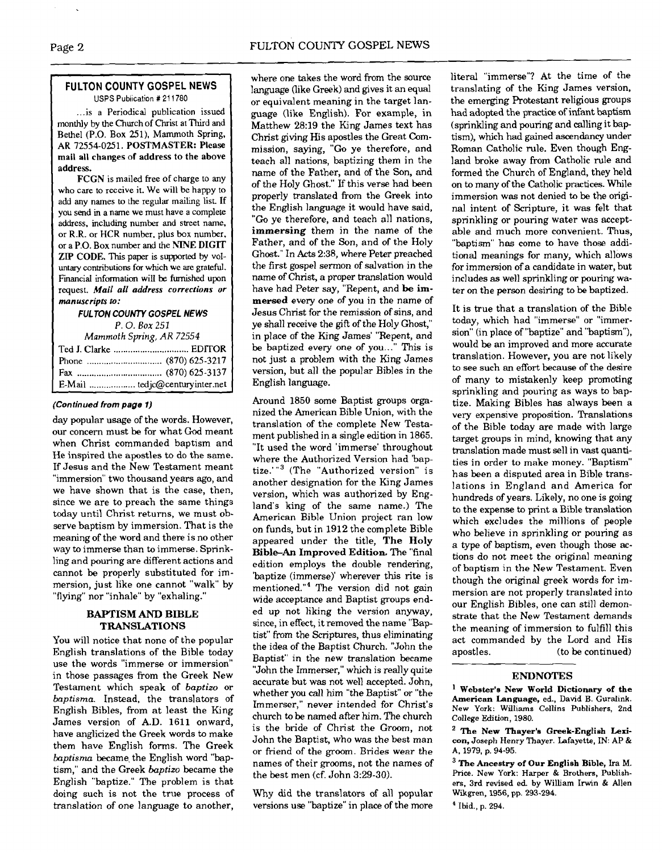# **FULTON COUNTY GOSPEL NEWS USPS Publication** # **21** 1780

... is a Periodical publication issued monthly by the Church of Christ at Third and Bethel (P.O. Box 251). Mammoth Spring, **AR** 72554-0251. **POSTMASTER:** Please mail all changes of address to the above address.

FCGN is mailed free of charge to any who care to receive it. We will be happy to add any names to the regular mailing list. **If**  you send in **a** name we must have a complete address, including number and street name. or **R.R.** or **HCR** number, plus **box** number, or **a** P.O. Box number and the **hTNE DIGIT**  ZIP **CODE.** This paper is supported by vol**untary** contributions **for** which we are grateful. Financial information **will** be furnished upon request. *Mail all* **address corrections or manuscripts to:** 

# **FULTON COUN7Y GOSPEL NEWS**  P. 0. **Box** <sup>251</sup>

*Mammoth* **Spring,** *AR* 72554

| E-Mail  tedjc@centuryinter.net |
|--------------------------------|

# **(Continued from page 1)**

day popular usage of the words. However, our concern must be for what God meant when Christ commanded baptism and He inspired the apostles to do the same. If Jesus and the New Testament meant "immersion" two thousand years ago, and we have shown that is the case, then, since we are to preach the same things today until Christ returns, we must observe baptism by immersion. That is the meaning of the word and there is no other way to immerse than to immerse. Sprinkling and pouring are different actions and cannot be properly substituted for immersion, just like one cannot "walk" by "flying" nor "inhale" by "exhaling."

# **BAPTISM AND BIBLE TRANSLATIONS**

You will notice that none of the popular English translations of the Bible today use the words "immerse or immersion" in those passages from the Greek New Testament which speak of *baptizo* or *baptisma.* Instead, the translators of English Bibles, from at least the King James version of A.D. 1611 onward, have anglicized the Greek words to make them have English forms. The Greek *baptisma* became, the English word "baptism," and the Greek *baptizo* became the English "baptize." The problem is that  $\sum_{n=1}^{\infty}$  the best men (cf. John 3:29-30). doing such is not the true process of Why did the translators of all popular translation of one language to another, versions use "baptize" in place of the more

where one takes the word from the source language (like Greek) and gives it an equal or equivalent meaning in the target language (like English). For example, in Matthew 28:19 the King James text has Christ giving His apostles the Great Commission, saying, *"Go* ye therefore, and teach all nations, baptizing them in the name of the Father, and of the Son, and of the Holy Ghost." If this verse had been properly translated from the Greek into the English language it would have said, "Go ye therefore, and teach all nations, **immersing** them in the name of the Father, and of the Son, and of the Holy Ghost." In Acts 2:38, where Peter preached the first gospel sermon of salvation in the name of Christ, a proper translation would have had Peter say, "Repent, and be **immersed** every one of you in the name of Jesus Christ for the remission of sins, and ye shall receive the gift of the Holy Ghost," in place of the King James' "Repent, and be baptized every one of you..." This is not just a problem with the King James version, but all the popular Bibles in the English language.

Around 1850 some Baptist groups organized the American Bible Union, with the translation of the complete New Testament published in a single edition in 1865. "It used the word 'immerse' throughout where the Authorized Version had 'baptize."<sup>3</sup> (The "Authorized version" is another designation for the King James version, which was authorized by England's king of the same name.) The American Bible Union project ran low on funds, but in 1912 the complete Bible appeared under the title, **The Holy Bible-An Improved Edition.** The "final edition employs the double rendering, 'baptize (immerse)' wherever this rite is mentioned."<sup>4</sup> The version did not gain wide acceptance and Baptist groups ended up not liking the version anyway, since, in effect, it removed the name "Baptist" From the Scriptures, thus eliminating the idea of the Baptist Church. "John the Baptist" in the new translation became "John the Immerser," which is really quite accurate but was not well accepted. John, whether you call him "the Baptist" or "the Immerser," never intended for Christ's church to be named after him. The church is the bride of Christ the Groom, not John the Baptist, who was the best man or friend of the groom. Brides wear the names of their grooms, not the names of<br>the best men (cf. John 3:29-30).

literal "immerse"? At the time of the translating of the King James version, the emerging Rotestant religious groups had adopted the practice of infant baptism (sprinkling and pouring and calling it baptism), which had gained ascendancy under Roman Catholic rule. Even though England broke away from Catholic rule and formed the Church of England, they held on to many of the Catholic practices. While immersion was not denied to be the original intent of Scripture, it was felt that sprinkling or pouring water was acceptable and much more convenient. Thus, "baptism" has come to have those additional meanings for many, which allows for immersion of a candidate in water, but includes as well sprinkling or pouring water on the person desiring to be baptized.

It is true that a translation of the Bible today, which had "immerse" or "immersion" (in place of "baptize" and "baptism"), would be an improved and more accurate translation. However, you are not likely to see such an effort because of the desire of many to mistakenly keep promoting sprinkling and pouring as ways to baptize. Making Bibles has always been a very expensive proposition. Translations of the Bible today are made with large target groups in mind, knowing that any translation made must sell in vast quantities in order to make money. "Baptism" has been a disputed area in Bible translations in England and America for hundreds of years. Likely, no one is going to the expense to print a Bible translation which excludes the millions of people who believe in sprinkling or pouring as a type of baptism, even though those actions do not meet the original meaning of baptism in the New Testament. Even though the original greek words for immersion are not properly translated into our English Bibles, one can still demonstrate that the New Testament demands the meaning of immersion to fulfill this act commanded by the Lord and His apostles. (to be continued)

# **ENDNOTES**

**Webster'e New World Dictionary of the American Language, ed., David B. Guralink. New York: Williams Collins Publishers, 2nd College Edition, 1980.** 

**The New Thayer'e Greek-English Lexicon, Joseph Henry Thayer. Lafayette, IN: AP** & **A, 1979, p. 94-95.** 

**The Ancestry of Our English Bible, Ira M.**  Price. **New York: Harper** & **Brothers, Publishers, 3rd revised ed by William Irwin** & **Allen Wikgren, 1956, pp. 293-294.**  ' **Ibid., p. 294.**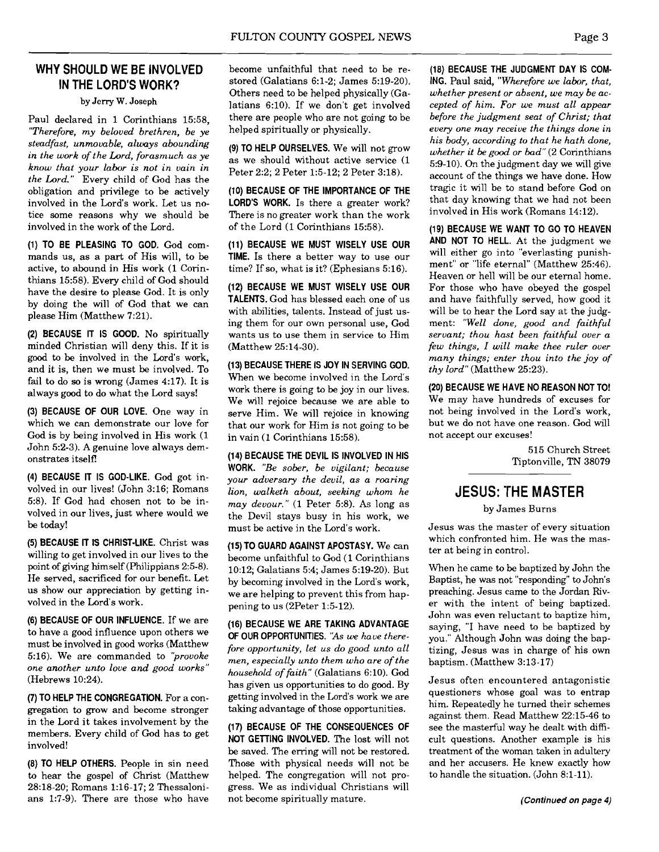# **WHY SHOULD WE BE INVOLVED IN THE LORD'S WORK?**

**by** Jerry **W.** Joseph

Paul declared in 1 Corinthians 15:58, *"Therefore, my beloved brethren, be ye steadfast, unmovable, always abounding in the work of the Lord, forasmuch as ye know that your labor is not in vain in the Lord."* Every child of God has the obligation and privilege to be actively involved in the Lord's work. Let us notice some reasons why we should be involved in the work of the Lord.

**(1) TO BE PLEASING TO GOD.** God commands us, as a part of His will, to be active, to abound in His work (1 Corinthians 15:58). Every child of God should have the desire to please God. It is only by doing the will of God that we can please Him (Matthew 7:21).

**(2) BECAUSE IT IS GOOD.** No spiritually minded Christian will deny this. If it is good to be involved in the Lord's work, and it is, then we must be involved. To fail to do so is wrong (James 4:17). It is always good to do what the Lord says!

**(3) BECAUSE OF OUR LOVE.** One way in which we can demonstrate our love for God is by being involved in His work (1 John 5:2-3). A genuine love always demonstrates itself!

**(4) BECAUSE IT IS GOD-LIKE.** God got involved in our lives! (John 3:16; Romans 58). If God had chosen not to be involved in our lives, just where would we be today!

**(5) BECAUSE IT IS CHRIST-LIKE.** Christ was willing to get involved in our lives to the point of giving himself (Philippians 2:5-8). He served, sacrificed for our benefit. Let us show our appreciation by getting involved in the Lord's work.

**(6) BECAUSE OF OUR INFLUENCE.** If we are to have a good influence upon others we must be involved in good works (Matthew 516). We are commanded to *'provoke one another unto love and good works"*  (Hebrews 10:24).

**(7) TO HELP THE CONGREGATION.** For a congregation to grow and become stronger in the Lord it takes involvement by the members. Every child of God has to get involved!

**(8) TO HELP OTHERS.** People in sin need to hear the gospel of Christ (Matthew 28:18-20; Romans 1:16-17; 2 Thessalonians 1:7-9). There are those who have become unfaithful that need to be restored (Galatians 6:1-2; James 5:19-20). Others need to be helped physically (Galatians 6:lO). If we don't get involved there are people who are not going to be helped spiritually or physically.

**(9) TO HELP OURSELVES.** We will not grow as we should without active service (1 Peter 2:2: 2 Peter 1:5-12: 2 Peter 3:18).

**(10) BECAUSE OF THE IMPORTANCE OF THE LORD'S WORK.** Is there a greater work? There is no greater work than the work of the Lord (1 Corinthians 15:58).

**(11) BECAUSE WE MUST WISELY USE OUR TIME.** Is there a better way to use our time? If so, what is it? (Ephesians  $5:16$ ).

**(12) BECAUSE WE MUST WISELY USE OUR TALENTS.** God has blessed each one of us with abilities, talents. Instead of just using them for our own personal use, God wants us to use them in service to Him (Matthew 25:14-30).

**(13) BECAUSE THERE IS JOY IN SERVING GOD.**  When we become involved in the Lord's work there is going to be joy in our lives. We will rejoice because we are able to serve Him. We will rejoice in knowing that our work for Him is not going to be in vain (1 Corinthians 15:58).

**(14) BECAUSE THE DEVIL IS INVOLVED IN HIS WORK.** *"Be sober, be vigilant; because your adversary the devil, as a roaring lion, walketh about, seeking whom he may devour."* (1 Peter 5:8). **As** long as the Devil stays busy in his work, we must be active in the Lord's work.

**(15) TO GUARD AGAINST APOSTASY.** We can become unfaithful to God (1 Corinthians 10:12; Galatians 5:4; James 5:19-20). But by becoming involved in the Lord's work, we are helping to prevent this from happening to us (2Peter 1:5-12).

**(16) BECAllSE WE ARE TAKING ADVANTAGE OF OUR OPPORTUNITIES.** *"As* **we** *have therefore opportunity, let us do good unto all men, especially unto them who are of the household of faith"* (Galatians 6:lO). God has given us opportunities to do good. By getting involved in the Lord's work we are taking advantage of those opportunities.

**(17) BECAUSE OF 'THE CONSEQUENCES OF NOT GETTING INVOLVED.** The lost will not be saved. The erring will not be restored. Those with physical needs will not be helped. The congregation will not progress. We as individual Christians will not become spiritually mature.

**(18) BECAUSE THE JUDGMENT DAY IS COM-ING.** Paul said, *"Wherefore we labor, that, whether present or absent, we may be accepted of him. For we must all appear before the judgment seat of Christ; that every one may receive the things done in his body, according to that he hath done, whether it be good or bad"* (2 Corinthians 5:9-10). On the judgment day we will give account of the things we have done. How tragic it will be to stand before God on that day knowing that we had not been involved in His work (Romans 14:12).

**(19) BECAUSE WE WANT TO GO TO HEAVEN AND NOT TO HELL.** At the judgment we will either go into "everlasting punishment" or "life eternal" (Matthew 25:46). Heaven or hell will be our eternal home. For those who have obeyed the gospel and have faithfully served, how good it will be to hear the Lord say at the judgment: *"Well done, good and faithful servant; thou hast been faithful over a few things, I will make thee ruler over many things; enter thou into the joy of thy lord"* (Matthew 25:23).

**(20) BECAUSE WE HAVE NO REASON NOT TO!**  We may have hundreds of excuses for not being involved in the Lord's work, but we do not have one reason. God will not accept our excuses!

> 515 Church Street Tiptonville, TN 38079

# **JESUS: THE MASTER**

by James Burns

Jesus was the master of every situation which confronted him. He was the master at being in control.

When he came to be baptized by John the Baptist, he was not "responding" to John's preaching. Jesus came to the Jordan River with the intent of being baptized. John was even reluctant to baptize him, saying, "I have need to be baptized by you." Although John was doing the baptizing, Jesus was in charge of his own baptism. (Matthew 3:13-17)

Jesus often encountered antagonistic questioners whose goal was to entrap him. Repeatedly he turned their schemes against them. Read Matthew 22:15-46 to see the masterful way he dealt with dificult questions. Another example is his treatment of the woman taken in adultery and her accusers. He knew exactly how to handle the situation. (John 8:l-11).